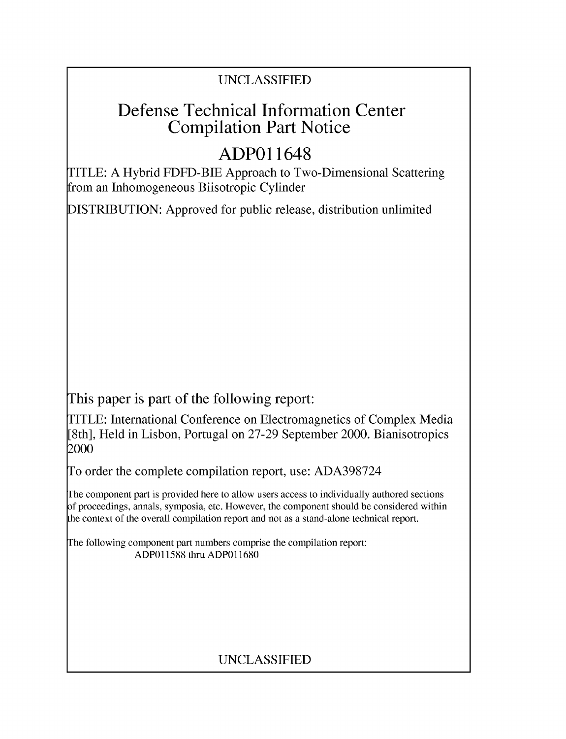### UNCLASSIFIED

# Defense Technical Information Center Compilation Part Notice

# **ADPO 11648**

TITLE: A Hybrid FDFD-BIE Approach to Two-Dimensional Scattering from an Inhomogeneous Biisotropic Cylinder

DISTRIBUTION: Approved for public release, distribution unlimited

This paper is part of the following report:

TITLE: International Conference on Electromagnetics of Complex Media [8th], Held in Lisbon, Portugal on 27-29 September 2000. Bianisotropics 2000

To order the complete compilation report, use: ADA398724

The component part is provided here to allow users access to individually authored sections f proceedings, annals, symposia, etc. However, the component should be considered within [he context of the overall compilation report and not as a stand-alone technical report.

The following component part numbers comprise the compilation report: ADP011588 thru ADP011680

### UNCLASSIFIED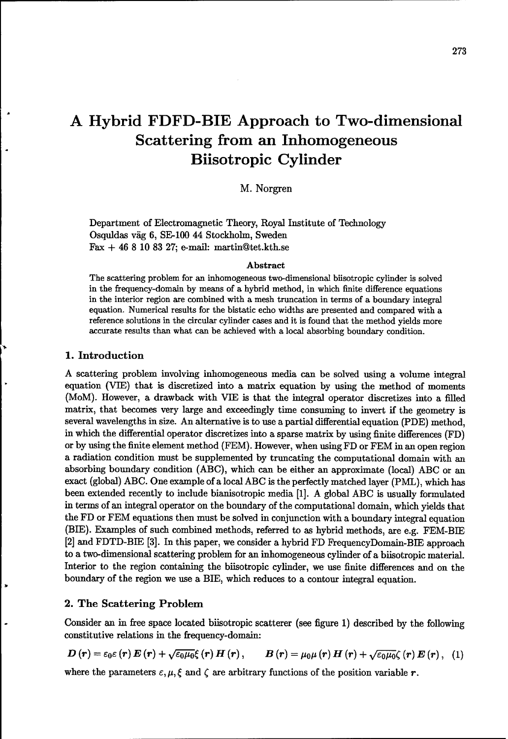## **A** Hybrid FDFD-BIE Approach to Two-dimensional Scattering from an Inhomogeneous Biisotropic Cylinder

M. Norgren

Department of Electromagnetic Theory, Royal Institute of Technology Osquldas väg 6, SE-100 44 Stockholm, Sweden Fax **+** 46 8 10 83 27; e-mail: martin@tet.kth.se

#### Abstract

The scattering problem for an inhomogeneous two-dimensional biisotropic cylinder is solved in the frequency-domain by means of a hybrid method, in which finite difference equations in the interior region are combined with a mesh truncation in terms of a boundary integral equation. Numerical results for the bistatic echo widths are presented and compared with a reference solutions in the circular cylinder cases and it is found that the method yields more accurate results than what can be achieved with a local absorbing boundary condition.

#### 1. Introduction

A scattering problem involving inhomogeneous media can be solved using a volume integral equation (VIE) that is discretized into a matrix equation by using the method of moments (MoM). However, a drawback with VIE is that the integral operator discretizes into a filled matrix, that becomes very large and exceedingly time consuming to invert if the geometry is several wavelengths in size. An alternative is to use a partial differential equation (PDE) method, in which the differential operator discretizes into a sparse matrix by using finite differences (FD) or by using the finite element method (FEM). However, when using FD or FEM in an open region a radiation condition must be supplemented by truncating the computational domain with an absorbing boundary condition (ABC), which can be either an approximate (local) ABC or an exact (global) ABC. One example of a local ABC is the perfectly matched layer (PML), which has been extended recently to include bianisotropic media [1]. A global ABC is usually formulated in terms of an integral operator on the boundary of the computational domain, which yields that the FD or FEM equations then must be solved in conjunction with a boundary integral equation (BIE). Examples of such combined methods, referred to as hybrid methods, are e.g. FEM-BIE [2] and FDTD-BIE [3]. In this paper, we consider a hybrid FD FrequencyDomain-BIE approach to a two-dimensional scattering problem for an inhomogeneous cylinder of a biisotropic material. Interior to the region containing the biisotropic cylinder, we use finite differences and on the boundary of the region we use a BIE, which reduces to a contour integral equation.

#### 2. The Scattering Problem

Consider an in free space located biisotropic scatterer (see figure 1) described by the following constitutive relations in the frequency-domain:

$$
\boldsymbol{D}(\boldsymbol{r})=\varepsilon_{0}\varepsilon(\boldsymbol{r})\,\boldsymbol{E}\left(\boldsymbol{r}\right)+\sqrt{\varepsilon_{0}\mu_{0}}\xi\left(\boldsymbol{r}\right)\boldsymbol{H}\left(\boldsymbol{r}\right),\qquad\boldsymbol{B}\left(\boldsymbol{r}\right)=\mu_{0}\mu\left(\boldsymbol{r}\right)\boldsymbol{H}\left(\boldsymbol{r}\right)+\sqrt{\varepsilon_{0}\mu_{0}}\zeta\left(\boldsymbol{r}\right)\boldsymbol{E}\left(\boldsymbol{r}\right),\quad(1)
$$

where the parameters  $\varepsilon$ ,  $\mu$ ,  $\xi$  and  $\zeta$  are arbitrary functions of the position variable r.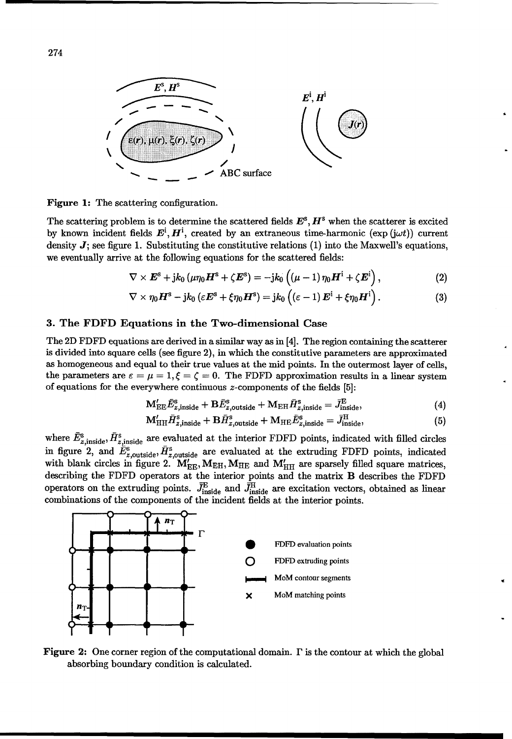

Figure 1: The scattering configuration.

The scattering problem is to determine the scattered fields  $E^{\rm s}$ ,  $H^{\rm s}$  when the scatterer is excited by known incident fields  $E^i$ ,  $H^i$ , created by an extraneous time-harmonic (exp (j $\omega t$ )) current density  $J$ ; see figure 1. Substituting the constitutive relations  $(1)$  into the Maxwell's equations, we eventually arrive at the following equations for the scattered fields:

$$
\nabla \times \boldsymbol{E}^{\rm s} + {\rm j} k_0 \left( \mu \eta_0 \boldsymbol{H}^{\rm s} + \zeta \boldsymbol{E}^{\rm s} \right) = -{\rm j} k_0 \left( \left( \mu - 1 \right) \eta_0 \boldsymbol{H}^{\rm i} + \zeta \boldsymbol{E}^{\rm i} \right), \tag{2}
$$

$$
\nabla \times \eta_0 \boldsymbol{H}^{\rm s} - {\rm j} k_0 \left( \varepsilon \boldsymbol{E}^{\rm s} + \xi \eta_0 \boldsymbol{H}^{\rm s} \right) = {\rm j} k_0 \left( \left( \varepsilon - 1 \right) \boldsymbol{E}^{\rm i} + \xi \eta_0 \boldsymbol{H}^{\rm i} \right). \tag{3}
$$

#### 3. The FDFD Equations in the Two-dimensional Case

The 2D FDFD equations are derived in a similar way as in [4]. The region containing the scatterer is divided into square cells (see figure 2), in which the constitutive parameters are approximated as homogeneous and equal to their true values at the mid points. In the outermost layer of cells, the parameters are  $\varepsilon = \mu = 1, \xi = \zeta = 0$ . The FDFD approximation results in a linear system of equations for the everywhere continuous z-components of the fields [5]:

$$
\mathbf{M}_{\text{EE}}' \tilde{E}_{z,\text{inside}}^{\text{s}} + \mathbf{B} \tilde{E}_{z,\text{outside}}^{\text{s}} + \mathbf{M}_{\text{EH}} \bar{H}_{z,\text{inside}}^{\text{s}} = \bar{J}_{\text{inside}}^{\text{E}}, \tag{4}
$$

$$
\mathbf{M}'_{\mathrm{HH}}\bar{H}_{z,\mathrm{inside}}^{\mathrm{s}} + \mathbf{B}\bar{H}_{z,\mathrm{outside}}^{\mathrm{s}} + \mathbf{M}_{\mathrm{HE}}\bar{E}_{z,\mathrm{inside}}^{\mathrm{s}} = \bar{J}_{\mathrm{inside}}^{\mathrm{H}},\tag{5}
$$

where  $\bar{E}_{z, \text{inside}}^s$ ,  $\bar{H}_{z, \text{inside}}^s$  are evaluated at the interior FDFD points, indicated with filled circles in figure 2, and  $\tilde{E}_{z,\text{outside}}^{\text{s}}$ ,  $\bar{H}_{z,\text{outside}}^{\text{s}}$  are evaluated at the extruding FDFD points, indicated with blank circles in figure 2.  $M'_{\text{EE}}$ ,  $M_{\text{EH}}$ ,  $M_{\text{HE}}$  and  $M'_{\text{HH}}$  are sparsely filled square matrices describing the FDFD operators at the interior points and the matrix B describes the FDFD operators on the extruding points.  $\bar{J}_{\text{inside}}^{\text{E}}$  and  $\bar{J}_{\text{inside}}^{\text{H}}$  are excitation vectors, obtained as linear combinations of the components of the incident fields at the interior points.



**Figure 2:** One corner region of the computational domain.  $\Gamma$  is the contour at which the global absorbing boundary condition is calculated.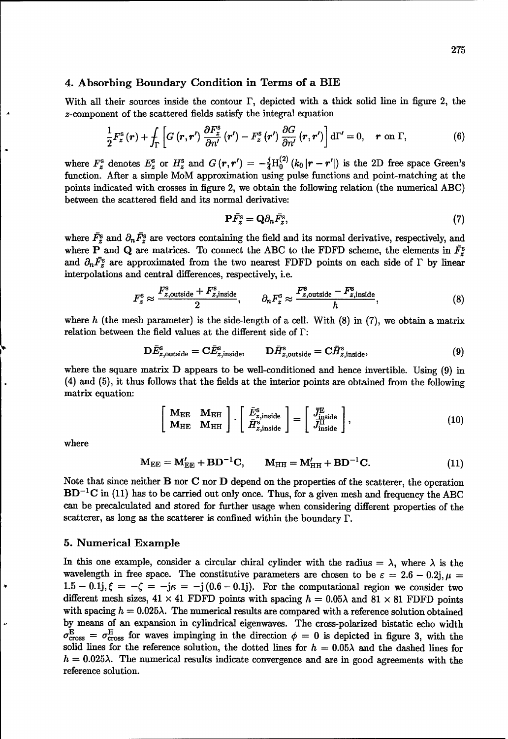#### 4. Absorbing Boundary Condition in Terms of a BIE

With all their sources inside the contour  $\Gamma$ , depicted with a thick solid line in figure 2, the z-component of the scattered fields satisfy the integral equation

$$
\frac{1}{2}F_z^{\rm s}(r)+\int_{\Gamma}\left[G\left(\boldsymbol{r},\boldsymbol{r}'\right)\frac{\partial F_z^{\rm s}}{\partial n'}\left(\boldsymbol{r}'\right)-F_z^{\rm s}\left(\boldsymbol{r}'\right)\frac{\partial G}{\partial n'}\left(\boldsymbol{r},\boldsymbol{r}'\right)\right{\rm d}\Gamma'=0,\quad \boldsymbol{r} \text{ on }\Gamma,\tag{6}
$$

where  $F_z^s$  denotes  $E_z^s$  or  $H_z^s$  and  $G(r, r') = -\frac{j}{4}H_0^{(2)}(k_0 |r - r'|)$  is the 2D free space Green's function. After a simple MoM approximation using pulse functions and point-matching at the points indicated with crosses in figure 2, we obtain the following relation (the numerical ABC) between the scattered field and its normal derivative:

$$
\mathbf{P}\bar{F}_{z}^{\mathrm{s}}=\mathbf{Q}\partial_{n}\bar{F}_{z}^{\mathrm{s}},\tag{7}
$$

where  $\bar{F}_z^s$  and  $\partial_n \bar{F}_z^s$  are vectors containing the field and its normal derivative, respectively, and where P and Q are matrices. To connect the ABC to the FDFD scheme, the elements in  $\bar{F}_{z}^{s}$ and  $\partial_n\bar{F}_z^s$  are approximated from the two nearest FDFD points on each side of  $\Gamma$  by linear interpolations and central differences, respectively, i.e.

$$
F_z^{\rm s} \approx \frac{F_{z,\rm outside}^{\rm s} + F_{z,\rm inside}^{\rm s}}{2}, \qquad \partial_n F_z^{\rm s} \approx \frac{F_{z,\rm outside}^{\rm s} - F_{z,\rm inside}^{\rm s}}{h}, \tag{8}
$$

where h (the mesh parameter) is the side-length of a cell. With  $(8)$  in  $(7)$ , we obtain a matrix relation between the field values at the different side of F:

$$
\mathbf{D}\bar{E}_{z,\text{outside}}^{\text{s}} = \mathbf{C}\bar{E}_{z,\text{inside}}^{\text{s}}, \qquad \mathbf{D}\bar{H}_{z,\text{outside}}^{\text{s}} = \mathbf{C}\bar{H}_{z,\text{inside}}^{\text{s}}, \tag{9}
$$

where the square matrix **D** appears to be well-conditioned and hence invertible. Using (9) in (4) and (5), it thus follows that the fields at the interior points are obtained from the following matrix equation:

$$
\begin{bmatrix}\n\mathbf{M}_{\text{EE}} & \mathbf{M}_{\text{EH}} \\
\mathbf{M}_{\text{HE}} & \mathbf{M}_{\text{HH}}\n\end{bmatrix} \cdot\n\begin{bmatrix}\n\bar{E}_{z,\text{inside}}^{s} \\
\bar{H}_{z,\text{inside}}^{s}\n\end{bmatrix} =\n\begin{bmatrix}\n\bar{J}_{\text{inside}}^{\text{E}} \\
\bar{J}_{\text{inside}}^{\text{H}}\n\end{bmatrix},
$$
\n(10)

where

$$
\mathbf{M}_{\rm EE} = \mathbf{M}_{\rm EE}^{\prime} + \mathbf{B} \mathbf{D}^{-1} \mathbf{C}, \qquad \mathbf{M}_{\rm HH} = \mathbf{M}_{\rm HH}^{\prime} + \mathbf{B} \mathbf{D}^{-1} \mathbf{C}.
$$
 (11)

Note that since neither B nor C nor D depend on the properties of the scatterer, the operation  $BD^{-1}C$  in (11) has to be carried out only once. Thus, for a given mesh and frequency the ABC can be precalculated and stored for further usage when considering different properties of the scatterer, as long as the scatterer is confined within the boundary  $\Gamma$ .

#### 5. Numerical Example

In this one example, consider a circular chiral cylinder with the radius =  $\lambda$ , where  $\lambda$  is the wavelength in free space. The constitutive parameters are chosen to be  $\varepsilon = 2.6 - 0.2j$ ,  $\mu =$  $1.5 - 0.1j, \xi = -\zeta = -j\kappa = -j(0.6 - 0.1j)$ . For the computational region we consider two different mesh sizes,  $41 \times 41$  FDFD points with spacing  $h = 0.05\lambda$  and  $81 \times 81$  FDFD points with spacing  $h = 0.025\lambda$ . The numerical results are compared with a reference solution obtained by means of an expansion in cylindrical eigenwaves. The cross-polarized bistatic echo width  $\sigma_{\text{cross}}^{\text{E}} = \sigma_{\text{cross}}^{\text{H}}$  for waves impinging in the direction  $\phi = 0$  is depicted in figure 3, with the solid lines for the reference solution, the dotted lines for  $h = 0.05\lambda$  and the dashed lines for  $h = 0.025\lambda$ . The numerical results indicate convergence and are in good agreements with the reference solution.